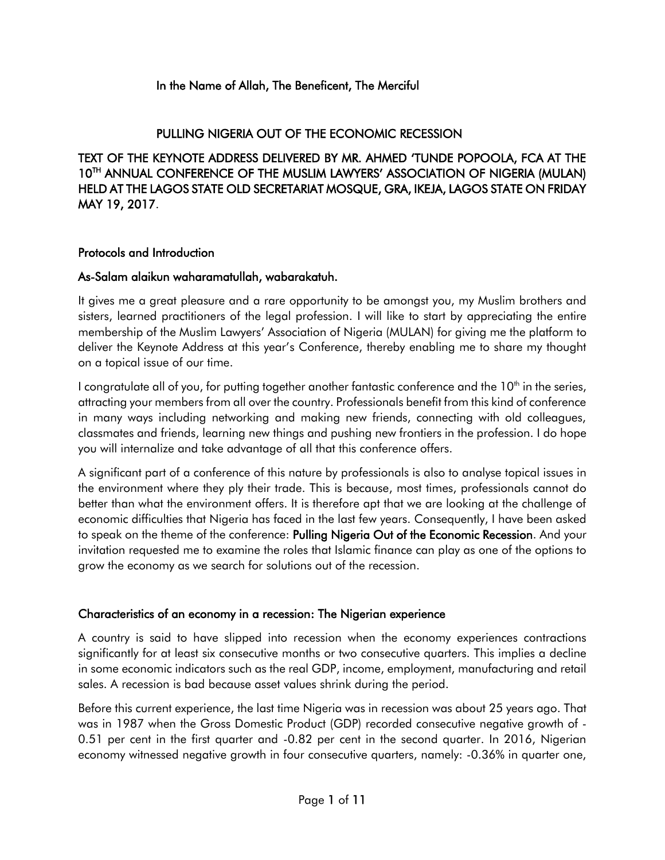#### In the Name of Allah, The Beneficent, The Merciful

## PULLING NIGERIA OUT OF THE ECONOMIC RECESSION

TEXT OF THE KEYNOTE ADDRESS DELIVERED BY MR. AHMED 'TUNDE POPOOLA, FCA AT THE 10TH ANNUAL CONFERENCE OF THE MUSLIM LAWYERS' ASSOCIATION OF NIGERIA (MULAN) HELD AT THE LAGOS STATE OLD SECRETARIAT MOSQUE, GRA, IKEJA, LAGOS STATE ON FRIDAY MAY 19, 2017.

#### Protocols and Introduction

#### As-Salam alaikun waharamatullah, wabarakatuh.

It gives me a great pleasure and a rare opportunity to be amongst you, my Muslim brothers and sisters, learned practitioners of the legal profession. I will like to start by appreciating the entire membership of the Muslim Lawyers' Association of Nigeria (MULAN) for giving me the platform to deliver the Keynote Address at this year's Conference, thereby enabling me to share my thought on a topical issue of our time.

I congratulate all of you, for putting together another fantastic conference and the 10<sup>th</sup> in the series, attracting your members from all over the country. Professionals benefit from this kind of conference in many ways including networking and making new friends, connecting with old colleagues, classmates and friends, learning new things and pushing new frontiers in the profession. I do hope you will internalize and take advantage of all that this conference offers.

A significant part of a conference of this nature by professionals is also to analyse topical issues in the environment where they ply their trade. This is because, most times, professionals cannot do better than what the environment offers. It is therefore apt that we are looking at the challenge of economic difficulties that Nigeria has faced in the last few years. Consequently, I have been asked to speak on the theme of the conference: Pulling Nigeria Out of the Economic Recession. And your invitation requested me to examine the roles that Islamic finance can play as one of the options to grow the economy as we search for solutions out of the recession.

#### Characteristics of an economy in a recession: The Nigerian experience

A country is said to have slipped into recession when the economy experiences contractions significantly for at least six consecutive months or two consecutive quarters. This implies a decline in some economic indicators such as the real GDP, income, employment, manufacturing and retail sales. A recession is bad because asset values shrink during the period.

Before this current experience, the last time Nigeria was in recession was about 25 years ago. That was in 1987 when the Gross Domestic Product (GDP) recorded consecutive negative growth of - 0.51 per cent in the first quarter and -0.82 per cent in the second quarter. In 2016, Nigerian economy witnessed negative growth in four consecutive quarters, namely: -0.36% in quarter one,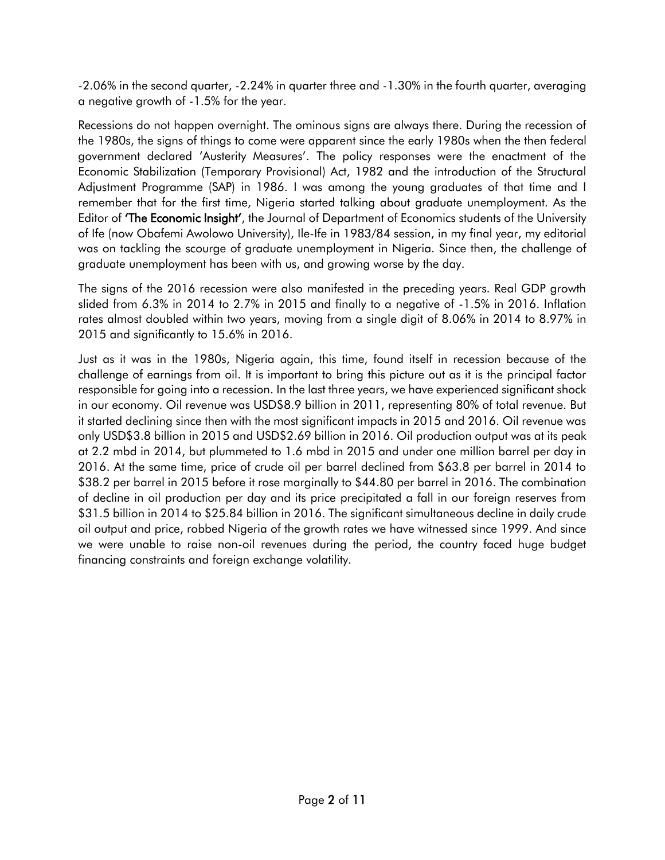-2.06% in the second quarter, -2.24% in quarter three and -1.30% in the fourth quarter, averaging a negative growth of -1.5% for the year.

Recessions do not happen overnight. The ominous signs are always there. During the recession of the 1980s, the signs of things to come were apparent since the early 1980s when the then federal government declared 'Austerity Measures'. The policy responses were the enactment of the Economic Stabilization (Temporary Provisional) Act, 1982 and the introduction of the Structural Adjustment Programme (SAP) in 1986. I was among the young graduates of that time and I remember that for the first time, Nigeria started talking about graduate unemployment. As the Editor of 'The Economic Insight', the Journal of Department of Economics students of the University of Ife (now Obafemi Awolowo University), Ile-Ife in 1983/84 session, in my final year, my editorial was on tackling the scourge of graduate unemployment in Nigeria. Since then, the challenge of graduate unemployment has been with us, and growing worse by the day.

The signs of the 2016 recession were also manifested in the preceding years. Real GDP growth slided from 6.3% in 2014 to 2.7% in 2015 and finally to a negative of -1.5% in 2016. Inflation rates almost doubled within two years, moving from a single digit of 8.06% in 2014 to 8.97% in 2015 and significantly to 15.6% in 2016.

Just as it was in the 1980s, Nigeria again, this time, found itself in recession because of the challenge of earnings from oil. It is important to bring this picture out as it is the principal factor responsible for going into a recession. In the last three years, we have experienced significant shock in our economy. Oil revenue was USD\$8.9 billion in 2011, representing 80% of total revenue. But it started declining since then with the most significant impacts in 2015 and 2016. Oil revenue was only USD\$3.8 billion in 2015 and USD\$2.69 billion in 2016. Oil production output was at its peak at 2.2 mbd in 2014, but plummeted to 1.6 mbd in 2015 and under one million barrel per day in 2016. At the same time, price of crude oil per barrel declined from \$63.8 per barrel in 2014 to \$38.2 per barrel in 2015 before it rose marginally to \$44.80 per barrel in 2016. The combination of decline in oil production per day and its price precipitated a fall in our foreign reserves from \$31.5 billion in 2014 to \$25.84 billion in 2016. The significant simultaneous decline in daily crude oil output and price, robbed Nigeria of the growth rates we have witnessed since 1999. And since we were unable to raise non-oil revenues during the period, the country faced huge budget financing constraints and foreign exchange volatility.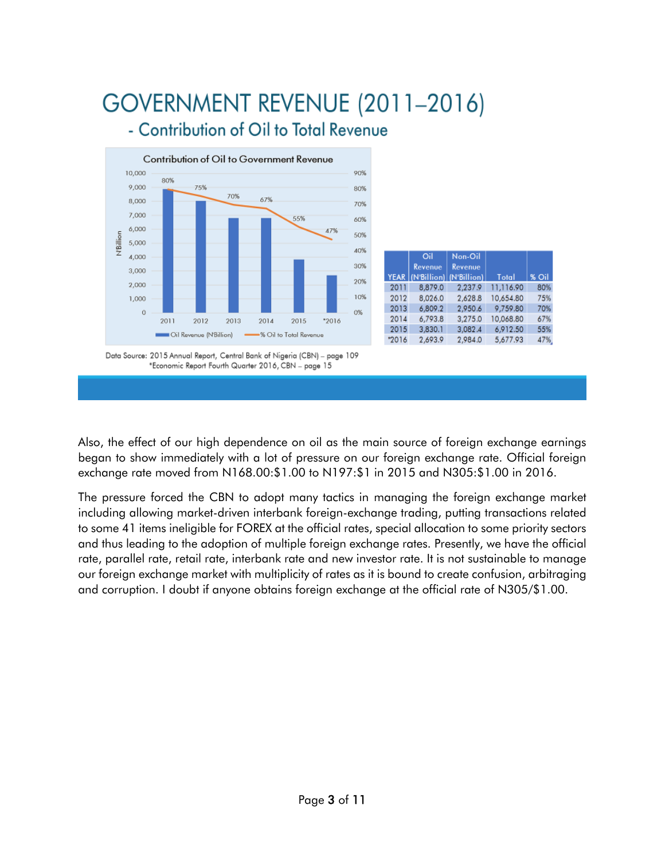# GOVERNMENT REVENUE (2011-2016) - Contribution of Oil to Total Revenue



|       | Oil<br>Revenue<br>YEAR (N'Billion) (N'Billion) | Non-Oil<br><b>Revenue</b> | Total     | % Oil |
|-------|------------------------------------------------|---------------------------|-----------|-------|
| 2011  | 8,879.0                                        | 2,237.9                   | 11,116.90 | 80%   |
| 2012  | 8.026.0                                        | 2,628.8                   | 10,654.80 | 75%   |
| 2013  | 6,809.2                                        | 2,950.6                   | 9,759.80  | 70%   |
| 2014  | 6,793.8                                        | 3,275.0                   | 10,068.80 | 67%   |
| 2015  | 3,830.1                                        | 3,082.4                   | 6,912.50  | 55%   |
| *2016 | 2,693.9                                        | 2,984.0                   | 5,677.93  | 47%   |

Data Source: 2015 Annual Report, Central Bank of Nigeria (CBN) - page 109 \*Economic Report Fourth Quarter 2016, CBN - page 15

Also, the effect of our high dependence on oil as the main source of foreign exchange earnings began to show immediately with a lot of pressure on our foreign exchange rate. Official foreign exchange rate moved from N168.00:\$1.00 to N197:\$1 in 2015 and N305:\$1.00 in 2016.

The pressure forced the CBN to adopt many tactics in managing the foreign exchange market including allowing market-driven interbank foreign-exchange trading, putting transactions related to some 41 items ineligible for FOREX at the official rates, special allocation to some priority sectors and thus leading to the adoption of multiple foreign exchange rates. Presently, we have the official rate, parallel rate, retail rate, interbank rate and new investor rate. It is not sustainable to manage our foreign exchange market with multiplicity of rates as it is bound to create confusion, arbitraging and corruption. I doubt if anyone obtains foreign exchange at the official rate of N305/\$1.00.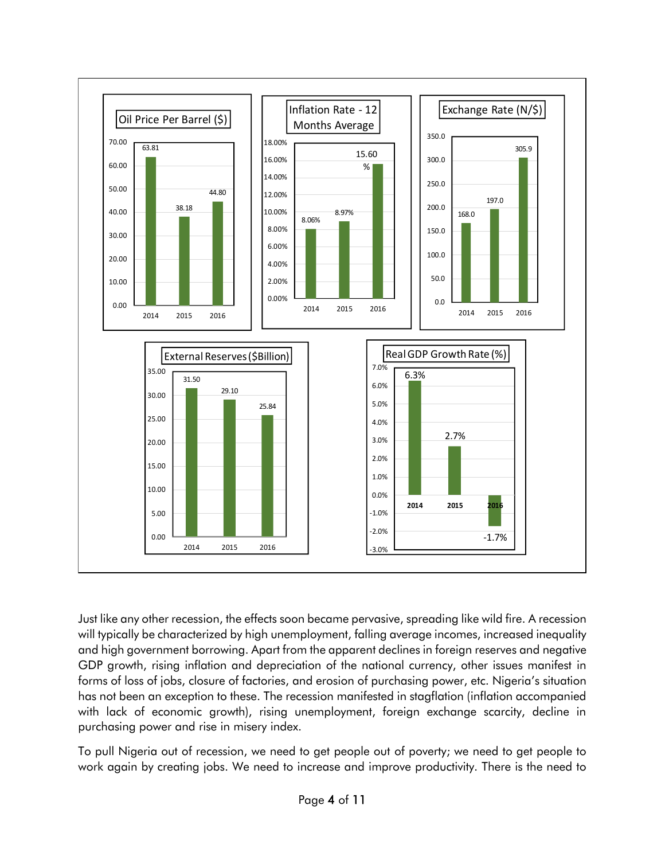

Just like any other recession, the effects soon became pervasive, spreading like wild fire. A recession will typically be characterized by high unemployment, falling average incomes, increased inequality and high government borrowing. Apart from the apparent declines in foreign reserves and negative GDP growth, rising inflation and depreciation of the national currency, other issues manifest in forms of loss of jobs, closure of factories, and erosion of purchasing power, etc. Nigeria's situation has not been an exception to these. The recession manifested in stagflation (inflation accompanied with lack of economic growth), rising unemployment, foreign exchange scarcity, decline in purchasing power and rise in misery index.

To pull Nigeria out of recession, we need to get people out of poverty; we need to get people to work again by creating jobs. We need to increase and improve productivity. There is the need to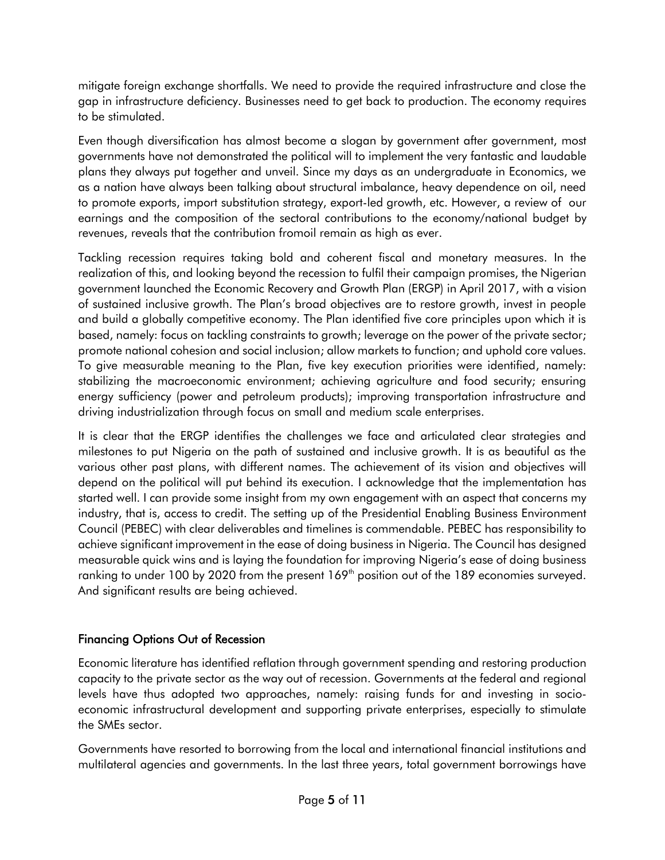mitigate foreign exchange shortfalls. We need to provide the required infrastructure and close the gap in infrastructure deficiency. Businesses need to get back to production. The economy requires to be stimulated.

Even though diversification has almost become a slogan by government after government, most governments have not demonstrated the political will to implement the very fantastic and laudable plans they always put together and unveil. Since my days as an undergraduate in Economics, we as a nation have always been talking about structural imbalance, heavy dependence on oil, need to promote exports, import substitution strategy, export-led growth, etc. However, a review of our earnings and the composition of the sectoral contributions to the economy/national budget by revenues, reveals that the contribution fromoil remain as high as ever.

Tackling recession requires taking bold and coherent fiscal and monetary measures. In the realization of this, and looking beyond the recession to fulfil their campaign promises, the Nigerian government launched the Economic Recovery and Growth Plan (ERGP) in April 2017, with a vision of sustained inclusive growth. The Plan's broad objectives are to restore growth, invest in people and build a globally competitive economy. The Plan identified five core principles upon which it is based, namely: focus on tackling constraints to growth; leverage on the power of the private sector; promote national cohesion and social inclusion; allow markets to function; and uphold core values. To give measurable meaning to the Plan, five key execution priorities were identified, namely: stabilizing the macroeconomic environment; achieving agriculture and food security; ensuring energy sufficiency (power and petroleum products); improving transportation infrastructure and driving industrialization through focus on small and medium scale enterprises.

It is clear that the ERGP identifies the challenges we face and articulated clear strategies and milestones to put Nigeria on the path of sustained and inclusive growth. It is as beautiful as the various other past plans, with different names. The achievement of its vision and objectives will depend on the political will put behind its execution. I acknowledge that the implementation has started well. I can provide some insight from my own engagement with an aspect that concerns my industry, that is, access to credit. The setting up of the Presidential Enabling Business Environment Council (PEBEC) with clear deliverables and timelines is commendable. PEBEC has responsibility to achieve significant improvement in the ease of doing business in Nigeria. The Council has designed measurable quick wins and is laying the foundation for improving Nigeria's ease of doing business ranking to under 100 by 2020 from the present 169<sup>th</sup> position out of the 189 economies surveyed. And significant results are being achieved.

# Financing Options Out of Recession

Economic literature has identified reflation through government spending and restoring production capacity to the private sector as the way out of recession. Governments at the federal and regional levels have thus adopted two approaches, namely: raising funds for and investing in socioeconomic infrastructural development and supporting private enterprises, especially to stimulate the SMEs sector.

Governments have resorted to borrowing from the local and international financial institutions and multilateral agencies and governments. In the last three years, total government borrowings have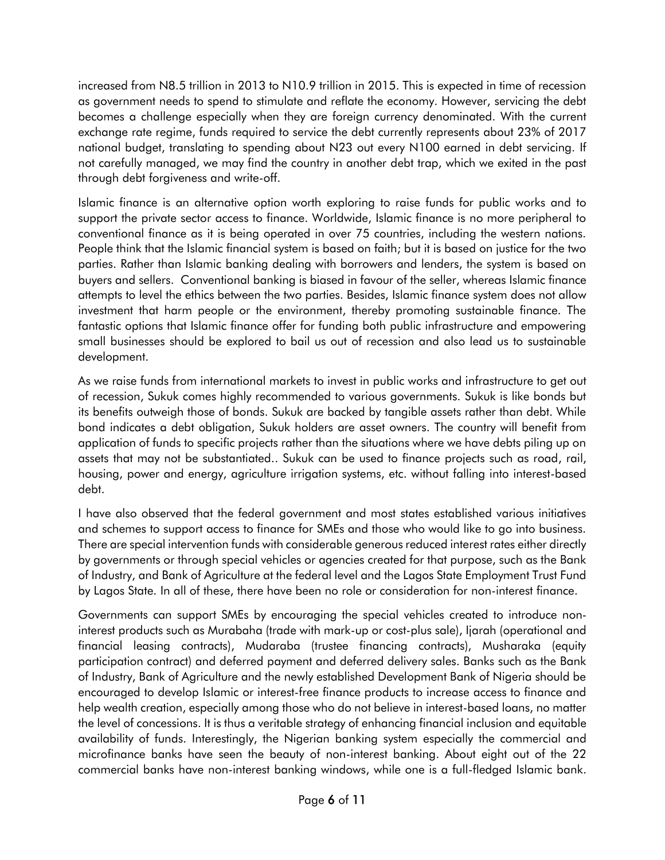increased from N8.5 trillion in 2013 to N10.9 trillion in 2015. This is expected in time of recession as government needs to spend to stimulate and reflate the economy. However, servicing the debt becomes a challenge especially when they are foreign currency denominated. With the current exchange rate regime, funds required to service the debt currently represents about 23% of 2017 national budget, translating to spending about N23 out every N100 earned in debt servicing. If not carefully managed, we may find the country in another debt trap, which we exited in the past through debt forgiveness and write-off.

Islamic finance is an alternative option worth exploring to raise funds for public works and to support the private sector access to finance. Worldwide, Islamic finance is no more peripheral to conventional finance as it is being operated in over 75 countries, including the western nations. People think that the Islamic financial system is based on faith; but it is based on justice for the two parties. Rather than Islamic banking dealing with borrowers and lenders, the system is based on buyers and sellers. Conventional banking is biased in favour of the seller, whereas Islamic finance attempts to level the ethics between the two parties. Besides, Islamic finance system does not allow investment that harm people or the environment, thereby promoting sustainable finance. The fantastic options that Islamic finance offer for funding both public infrastructure and empowering small businesses should be explored to bail us out of recession and also lead us to sustainable development.

As we raise funds from international markets to invest in public works and infrastructure to get out of recession, Sukuk comes highly recommended to various governments. Sukuk is like bonds but its benefits outweigh those of bonds. Sukuk are backed by tangible assets rather than debt. While bond indicates a debt obligation, Sukuk holders are asset owners. The country will benefit from application of funds to specific projects rather than the situations where we have debts piling up on assets that may not be substantiated.. Sukuk can be used to finance projects such as road, rail, housing, power and energy, agriculture irrigation systems, etc. without falling into interest-based debt.

I have also observed that the federal government and most states established various initiatives and schemes to support access to finance for SMEs and those who would like to go into business. There are special intervention funds with considerable generous reduced interest rates either directly by governments or through special vehicles or agencies created for that purpose, such as the Bank of Industry, and Bank of Agriculture at the federal level and the Lagos State Employment Trust Fund by Lagos State. In all of these, there have been no role or consideration for non-interest finance.

Governments can support SMEs by encouraging the special vehicles created to introduce noninterest products such as Murabaha (trade with mark-up or cost-plus sale), Ijarah (operational and financial leasing contracts), Mudaraba (trustee financing contracts), Musharaka (equity participation contract) and deferred payment and deferred delivery sales. Banks such as the Bank of Industry, Bank of Agriculture and the newly established Development Bank of Nigeria should be encouraged to develop Islamic or interest-free finance products to increase access to finance and help wealth creation, especially among those who do not believe in interest-based loans, no matter the level of concessions. It is thus a veritable strategy of enhancing financial inclusion and equitable availability of funds. Interestingly, the Nigerian banking system especially the commercial and microfinance banks have seen the beauty of non-interest banking. About eight out of the 22 commercial banks have non-interest banking windows, while one is a full-fledged Islamic bank.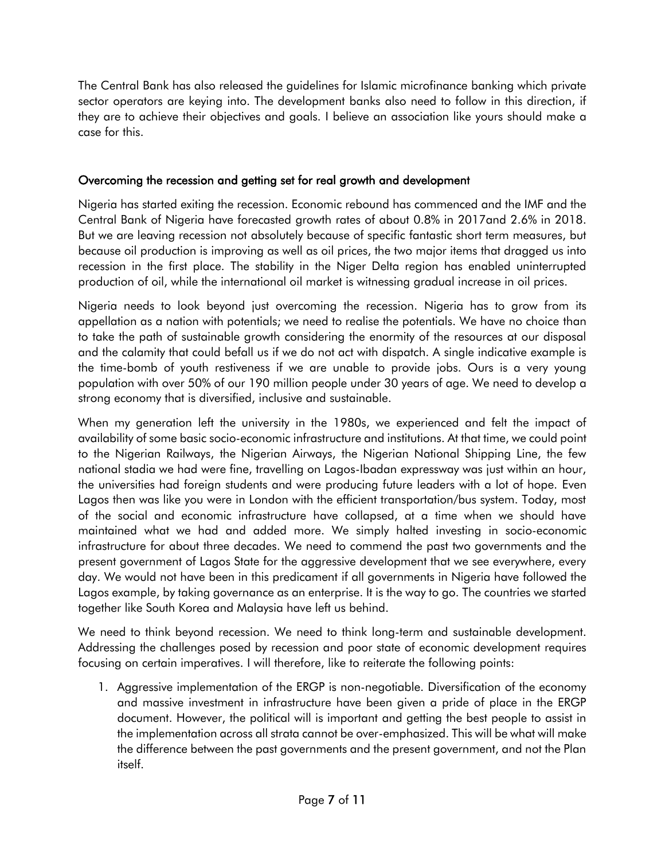The Central Bank has also released the guidelines for Islamic microfinance banking which private sector operators are keying into. The development banks also need to follow in this direction, if they are to achieve their objectives and goals. I believe an association like yours should make a case for this.

## Overcoming the recession and getting set for real growth and development

Nigeria has started exiting the recession. Economic rebound has commenced and the IMF and the Central Bank of Nigeria have forecasted growth rates of about 0.8% in 2017and 2.6% in 2018. But we are leaving recession not absolutely because of specific fantastic short term measures, but because oil production is improving as well as oil prices, the two major items that dragged us into recession in the first place. The stability in the Niger Delta region has enabled uninterrupted production of oil, while the international oil market is witnessing gradual increase in oil prices.

Nigeria needs to look beyond just overcoming the recession. Nigeria has to grow from its appellation as a nation with potentials; we need to realise the potentials. We have no choice than to take the path of sustainable growth considering the enormity of the resources at our disposal and the calamity that could befall us if we do not act with dispatch. A single indicative example is the time-bomb of youth restiveness if we are unable to provide jobs. Ours is a very young population with over 50% of our 190 million people under 30 years of age. We need to develop a strong economy that is diversified, inclusive and sustainable.

When my generation left the university in the 1980s, we experienced and felt the impact of availability of some basic socio-economic infrastructure and institutions. At that time, we could point to the Nigerian Railways, the Nigerian Airways, the Nigerian National Shipping Line, the few national stadia we had were fine, travelling on Lagos-Ibadan expressway was just within an hour, the universities had foreign students and were producing future leaders with a lot of hope. Even Lagos then was like you were in London with the efficient transportation/bus system. Today, most of the social and economic infrastructure have collapsed, at a time when we should have maintained what we had and added more. We simply halted investing in socio-economic infrastructure for about three decades. We need to commend the past two governments and the present government of Lagos State for the aggressive development that we see everywhere, every day. We would not have been in this predicament if all governments in Nigeria have followed the Lagos example, by taking governance as an enterprise. It is the way to go. The countries we started together like South Korea and Malaysia have left us behind.

We need to think beyond recession. We need to think long-term and sustainable development. Addressing the challenges posed by recession and poor state of economic development requires focusing on certain imperatives. I will therefore, like to reiterate the following points:

1. Aggressive implementation of the ERGP is non-negotiable. Diversification of the economy and massive investment in infrastructure have been given a pride of place in the ERGP document. However, the political will is important and getting the best people to assist in the implementation across all strata cannot be over-emphasized. This will be what will make the difference between the past governments and the present government, and not the Plan itself.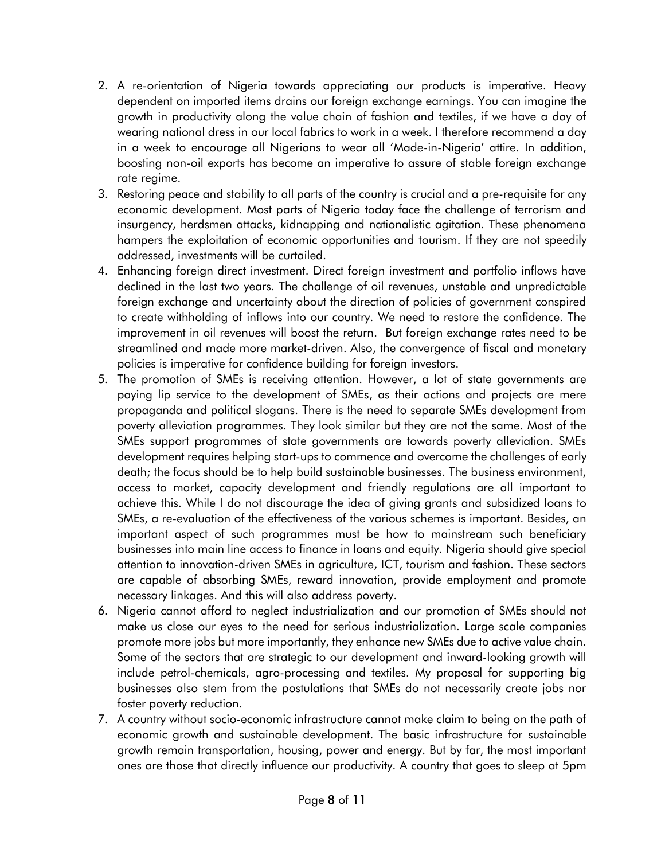- 2. A re-orientation of Nigeria towards appreciating our products is imperative. Heavy dependent on imported items drains our foreign exchange earnings. You can imagine the growth in productivity along the value chain of fashion and textiles, if we have a day of wearing national dress in our local fabrics to work in a week. I therefore recommend a day in a week to encourage all Nigerians to wear all 'Made-in-Nigeria' attire. In addition, boosting non-oil exports has become an imperative to assure of stable foreign exchange rate regime.
- 3. Restoring peace and stability to all parts of the country is crucial and a pre-requisite for any economic development. Most parts of Nigeria today face the challenge of terrorism and insurgency, herdsmen attacks, kidnapping and nationalistic agitation. These phenomena hampers the exploitation of economic opportunities and tourism. If they are not speedily addressed, investments will be curtailed.
- 4. Enhancing foreign direct investment. Direct foreign investment and portfolio inflows have declined in the last two years. The challenge of oil revenues, unstable and unpredictable foreign exchange and uncertainty about the direction of policies of government conspired to create withholding of inflows into our country. We need to restore the confidence. The improvement in oil revenues will boost the return. But foreign exchange rates need to be streamlined and made more market-driven. Also, the convergence of fiscal and monetary policies is imperative for confidence building for foreign investors.
- 5. The promotion of SMEs is receiving attention. However, a lot of state governments are paying lip service to the development of SMEs, as their actions and projects are mere propaganda and political slogans. There is the need to separate SMEs development from poverty alleviation programmes. They look similar but they are not the same. Most of the SMEs support programmes of state governments are towards poverty alleviation. SMEs development requires helping start-ups to commence and overcome the challenges of early death; the focus should be to help build sustainable businesses. The business environment, access to market, capacity development and friendly regulations are all important to achieve this. While I do not discourage the idea of giving grants and subsidized loans to SMEs, a re-evaluation of the effectiveness of the various schemes is important. Besides, an important aspect of such programmes must be how to mainstream such beneficiary businesses into main line access to finance in loans and equity. Nigeria should give special attention to innovation-driven SMEs in agriculture, ICT, tourism and fashion. These sectors are capable of absorbing SMEs, reward innovation, provide employment and promote necessary linkages. And this will also address poverty.
- 6. Nigeria cannot afford to neglect industrialization and our promotion of SMEs should not make us close our eyes to the need for serious industrialization. Large scale companies promote more jobs but more importantly, they enhance new SMEs due to active value chain. Some of the sectors that are strategic to our development and inward-looking growth will include petrol-chemicals, agro-processing and textiles. My proposal for supporting big businesses also stem from the postulations that SMEs do not necessarily create jobs nor foster poverty reduction.
- 7. A country without socio-economic infrastructure cannot make claim to being on the path of economic growth and sustainable development. The basic infrastructure for sustainable growth remain transportation, housing, power and energy. But by far, the most important ones are those that directly influence our productivity. A country that goes to sleep at 5pm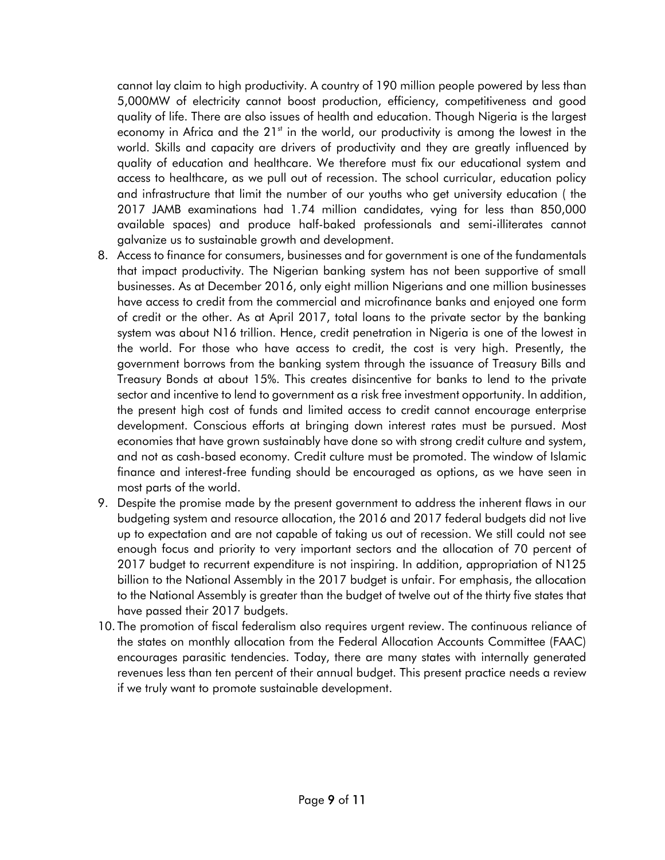cannot lay claim to high productivity. A country of 190 million people powered by less than 5,000MW of electricity cannot boost production, efficiency, competitiveness and good quality of life. There are also issues of health and education. Though Nigeria is the largest economy in Africa and the  $21<sup>st</sup>$  in the world, our productivity is among the lowest in the world. Skills and capacity are drivers of productivity and they are greatly influenced by quality of education and healthcare. We therefore must fix our educational system and access to healthcare, as we pull out of recession. The school curricular, education policy and infrastructure that limit the number of our youths who get university education ( the 2017 JAMB examinations had 1.74 million candidates, vying for less than 850,000 available spaces) and produce half-baked professionals and semi-illiterates cannot galvanize us to sustainable growth and development.

- 8. Access to finance for consumers, businesses and for government is one of the fundamentals that impact productivity. The Nigerian banking system has not been supportive of small businesses. As at December 2016, only eight million Nigerians and one million businesses have access to credit from the commercial and microfinance banks and enjoyed one form of credit or the other. As at April 2017, total loans to the private sector by the banking system was about N16 trillion. Hence, credit penetration in Nigeria is one of the lowest in the world. For those who have access to credit, the cost is very high. Presently, the government borrows from the banking system through the issuance of Treasury Bills and Treasury Bonds at about 15%. This creates disincentive for banks to lend to the private sector and incentive to lend to government as a risk free investment opportunity. In addition, the present high cost of funds and limited access to credit cannot encourage enterprise development. Conscious efforts at bringing down interest rates must be pursued. Most economies that have grown sustainably have done so with strong credit culture and system, and not as cash-based economy. Credit culture must be promoted. The window of Islamic finance and interest-free funding should be encouraged as options, as we have seen in most parts of the world.
- 9. Despite the promise made by the present government to address the inherent flaws in our budgeting system and resource allocation, the 2016 and 2017 federal budgets did not live up to expectation and are not capable of taking us out of recession. We still could not see enough focus and priority to very important sectors and the allocation of 70 percent of 2017 budget to recurrent expenditure is not inspiring. In addition, appropriation of N125 billion to the National Assembly in the 2017 budget is unfair. For emphasis, the allocation to the National Assembly is greater than the budget of twelve out of the thirty five states that have passed their 2017 budgets.
- 10. The promotion of fiscal federalism also requires urgent review. The continuous reliance of the states on monthly allocation from the Federal Allocation Accounts Committee (FAAC) encourages parasitic tendencies. Today, there are many states with internally generated revenues less than ten percent of their annual budget. This present practice needs a review if we truly want to promote sustainable development.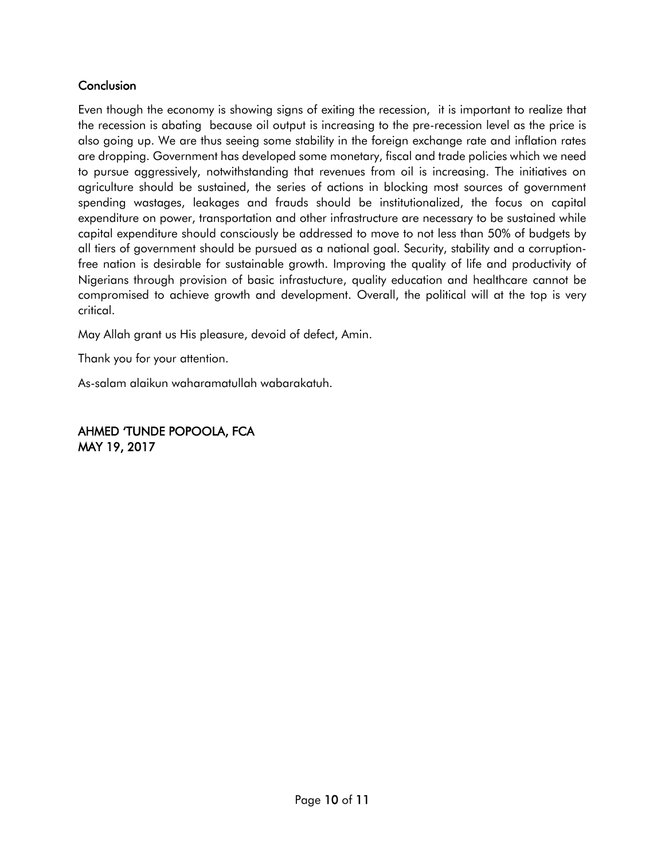## **Conclusion**

Even though the economy is showing signs of exiting the recession, it is important to realize that the recession is abating because oil output is increasing to the pre-recession level as the price is also going up. We are thus seeing some stability in the foreign exchange rate and inflation rates are dropping. Government has developed some monetary, fiscal and trade policies which we need to pursue aggressively, notwithstanding that revenues from oil is increasing. The initiatives on agriculture should be sustained, the series of actions in blocking most sources of government spending wastages, leakages and frauds should be institutionalized, the focus on capital expenditure on power, transportation and other infrastructure are necessary to be sustained while capital expenditure should consciously be addressed to move to not less than 50% of budgets by all tiers of government should be pursued as a national goal. Security, stability and a corruptionfree nation is desirable for sustainable growth. Improving the quality of life and productivity of Nigerians through provision of basic infrastucture, quality education and healthcare cannot be compromised to achieve growth and development. Overall, the political will at the top is very critical.

May Allah grant us His pleasure, devoid of defect, Amin.

Thank you for your attention.

As-salam alaikun waharamatullah wabarakatuh.

AHMED 'TUNDE POPOOLA, FCA MAY 19, 2017